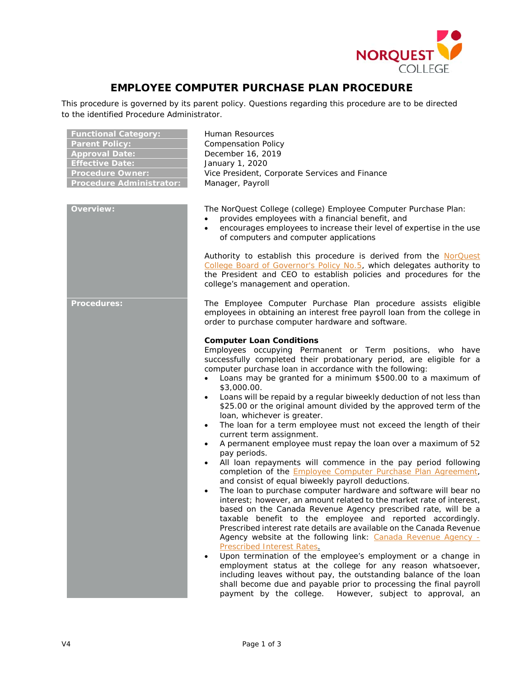

## **EMPLOYEE COMPUTER PURCHASE PLAN PROCEDURE**

This procedure is governed by its parent policy. Questions regarding this procedure are to be directed to the identified Procedure Administrator.

| <b>Functional Category:</b><br><b>Parent Policy:</b><br><b>Approval Date:</b><br><b>Effective Date:</b><br><b>Procedure Owner:</b><br><b>Procedure Administrator:</b> | Human Resources<br><b>Compensation Policy</b><br>December 16, 2019<br>January 1, 2020<br>Vice President, Corporate Services and Finance<br>Manager, Payroll                                                                                                                                                                                                                                                                                                                                                                                                                                                                                                                                                                                                                                                                                                                                                                                                                                                                                                                                                                                                                                                                                                                                                                                                                                                                                                                                                                                                                                                                                                                                                                                             |
|-----------------------------------------------------------------------------------------------------------------------------------------------------------------------|---------------------------------------------------------------------------------------------------------------------------------------------------------------------------------------------------------------------------------------------------------------------------------------------------------------------------------------------------------------------------------------------------------------------------------------------------------------------------------------------------------------------------------------------------------------------------------------------------------------------------------------------------------------------------------------------------------------------------------------------------------------------------------------------------------------------------------------------------------------------------------------------------------------------------------------------------------------------------------------------------------------------------------------------------------------------------------------------------------------------------------------------------------------------------------------------------------------------------------------------------------------------------------------------------------------------------------------------------------------------------------------------------------------------------------------------------------------------------------------------------------------------------------------------------------------------------------------------------------------------------------------------------------------------------------------------------------------------------------------------------------|
| <b>Overview:</b>                                                                                                                                                      | The NorQuest College (college) Employee Computer Purchase Plan:<br>provides employees with a financial benefit, and<br>$\bullet$<br>encourages employees to increase their level of expertise in the use<br>$\bullet$<br>of computers and computer applications                                                                                                                                                                                                                                                                                                                                                                                                                                                                                                                                                                                                                                                                                                                                                                                                                                                                                                                                                                                                                                                                                                                                                                                                                                                                                                                                                                                                                                                                                         |
|                                                                                                                                                                       | Authority to establish this procedure is derived from the NorQuest<br>College Board of Governor's Policy No.5, which delegates authority to<br>the President and CEO to establish policies and procedures for the<br>college's management and operation.                                                                                                                                                                                                                                                                                                                                                                                                                                                                                                                                                                                                                                                                                                                                                                                                                                                                                                                                                                                                                                                                                                                                                                                                                                                                                                                                                                                                                                                                                                |
| <b>Procedures:</b>                                                                                                                                                    | The Employee Computer Purchase Plan procedure assists eligible<br>employees in obtaining an interest free payroll loan from the college in<br>order to purchase computer hardware and software.                                                                                                                                                                                                                                                                                                                                                                                                                                                                                                                                                                                                                                                                                                                                                                                                                                                                                                                                                                                                                                                                                                                                                                                                                                                                                                                                                                                                                                                                                                                                                         |
|                                                                                                                                                                       | <b>Computer Loan Conditions</b><br>Employees occupying Permanent or Term positions, who have<br>successfully completed their probationary period, are eligible for a<br>computer purchase loan in accordance with the following:<br>Loans may be granted for a minimum \$500.00 to a maximum of<br>$\bullet$<br>\$3,000.00.<br>Loans will be repaid by a regular biweekly deduction of not less than<br>$\bullet$<br>\$25.00 or the original amount divided by the approved term of the<br>loan, whichever is greater.<br>The loan for a term employee must not exceed the length of their<br>$\bullet$<br>current term assignment.<br>A permanent employee must repay the loan over a maximum of 52<br>$\bullet$<br>pay periods.<br>All loan repayments will commence in the pay period following<br>$\bullet$<br>completion of the <b>Employee Computer Purchase Plan Agreement</b> ,<br>and consist of equal biweekly payroll deductions.<br>The loan to purchase computer hardware and software will bear no<br>$\bullet$<br>interest; however, an amount related to the market rate of interest,<br>based on the Canada Revenue Agency prescribed rate, will be a<br>taxable benefit to the employee and reported accordingly.<br>Prescribed interest rate details are available on the Canada Revenue<br>Agency website at the following link: Canada Revenue Agency -<br><b>Prescribed Interest Rates.</b><br>Upon termination of the employee's employment or a change in<br>employment status at the college for any reason whatsoever,<br>including leaves without pay, the outstanding balance of the loan<br>shall become due and payable prior to processing the final payroll<br>payment by the college. However, subject to approval, an |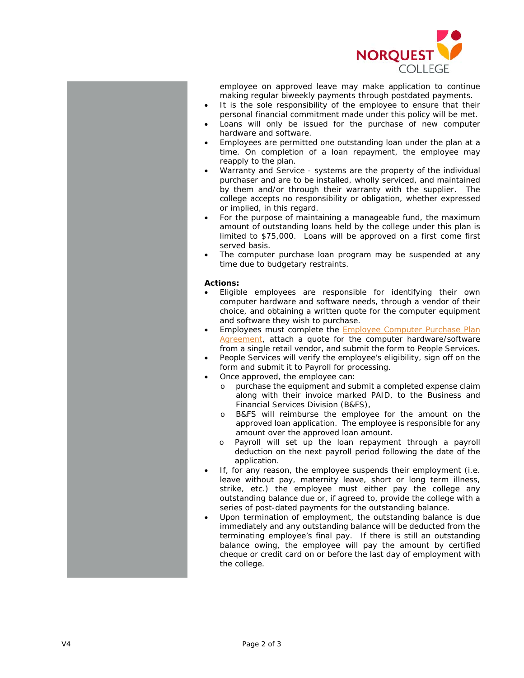

employee on approved leave may make application to continue making regular biweekly payments through postdated payments.

- It is the sole responsibility of the employee to ensure that their personal financial commitment made under this policy will be met.
- Loans will only be issued for the purchase of new computer hardware and software.
- Employees are permitted one outstanding loan under the plan at a time. On completion of a loan repayment, the employee may reapply to the plan.
- Warranty and Service systems are the property of the individual purchaser and are to be installed, wholly serviced, and maintained by them and/or through their warranty with the supplier. The college accepts no responsibility or obligation, whether expressed or implied, in this regard.
- For the purpose of maintaining a manageable fund, the maximum amount of outstanding loans held by the college under this plan is limited to \$75,000. Loans will be approved on a first come first served basis.
- The computer purchase loan program may be suspended at any time due to budgetary restraints.

## **Actions:**

- Eligible employees are responsible for identifying their own computer hardware and software needs, through a vendor of their choice, and obtaining a written quote for the computer equipment and software they wish to purchase.
- Employees must complete the [Employee Computer Purchase Plan](http://theq.norquest.ca/Departments/WDHR/Public-Documents/Forms/Computer-Purchase-Plan-Agreement.aspx)  [Agreement,](http://theq.norquest.ca/Departments/WDHR/Public-Documents/Forms/Computer-Purchase-Plan-Agreement.aspx) attach a quote for the computer hardware/software from a single retail vendor, and submit the form to People Services.
- People Services will verify the employee's eligibility, sign off on the form and submit it to Payroll for processing.
- Once approved, the employee can:
	- o purchase the equipment and submit a completed expense claim along with their invoice marked PAID, to the Business and Financial Services Division (B&FS),
	- o B&FS will reimburse the employee for the amount on the approved loan application. The employee is responsible for any amount over the approved loan amount.
	- o Payroll will set up the loan repayment through a payroll deduction on the next payroll period following the date of the application.
- If, for any reason, the employee suspends their employment (i.e. leave without pay, maternity leave, short or long term illness, strike, etc.) the employee must either pay the college any outstanding balance due or, if agreed to, provide the college with a series of post-dated payments for the outstanding balance.
- Upon termination of employment, the outstanding balance is due immediately and any outstanding balance will be deducted from the terminating employee's final pay. If there is still an outstanding balance owing, the employee will pay the amount by certified cheque or credit card on or before the last day of employment with the college.